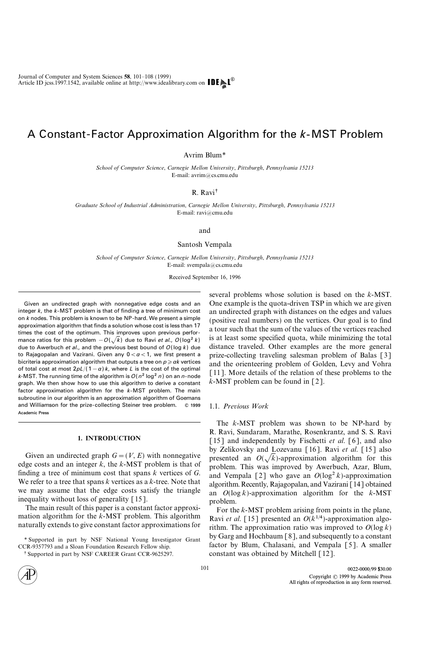# A Constant-Factor Approximation Algorithm for the k-MST Problem

Avrim Blum\*

School of Computer Science, Carnegie Mellon University, Pittsburgh, Pennsylvania 15213 E-mail: avrim@cs.cmu.edu

R. Ravi<sup>†</sup>

Graduate School of Industrial Administration, Carnegie Mellon University, Pittsburgh, Pennsylvania 15213 E-mail: ravi@cmu.edu

and

Santosh Vempala

School of Computer Science, Carnegie Mellon University, Pittsburgh, Pennsylvania 15213 E-mail: svempala@cs.cmu.edu

Received September 16, 1996

Given an undirected graph with nonnegative edge costs and an integer  $k$ , the  $k$ -MST problem is that of finding a tree of minimum cost on  $k$  nodes. This problem is known to be NP-hard. We present a simple approximation algorithm that finds a solution whose cost is less than 17 times the cost of the optimum. This improves upon previous performance ratios for this problem  $-O(\sqrt{k})$  due to Ravi et al.,  $O(\log^2 k)$ due to Awerbuch et al., and the previous best bound of  $O(\log k)$  due to Rajagopalan and Vazirani. Given any  $0 < a < 1$ , we first present a bicriteria approximation algorithm that outputs a tree on  $p \geq a k$  vertices of total cost at most  $2pL/(1-a)k$ , where L is the cost of the optimal k-MST. The running time of the algorithm is  $O(n^2 \log^2 n)$  on an n-node graph. We then show how to use this algorithm to derive a constant factor approximation algorithm for the  $k$ -MST problem. The main subroutine in our algorithm is an approximation algorithm of Goemans and Williamson for the prize-collecting Steiner tree problem. © 1999 Academic Press

# 1. INTRODUCTION

Given an undirected graph  $G=(V, E)$  with nonnegative edge costs and an integer  $k$ , the  $k$ -MST problem is that of finding a tree of minimum cost that spans  $k$  vertices of  $G$ . We refer to a tree that spans  $k$  vertices as a  $k$ -tree. Note that we may assume that the edge costs satisfy the triangle inequality without loss of generality [15].

The main result of this paper is a constant factor approximation algorithm for the  $k$ -MST problem. This algorithm naturally extends to give constant factor approximations for

\* Supported in part by NSF National Young Investigator Grant CCR-9357793 and a Sloan Foundation Research Fellow ship.

<sup>†</sup> Supported in part by NSF CAREER Grant CCR-9625297.

several problems whose solution is based on the k-MST. One example is the quota-driven TSP in which we are given an undirected graph with distances on the edges and values (positive real numbers) on the vertices. Our goal is to find a tour such that the sum of the values of the vertices reached is at least some specified quota, while minimizing the total distance traveled. Other examples are the more general prize-collecting traveling salesman problem of Balas [3] and the orienteering problem of Golden, Levy and Vohra [11]. More details of the relation of these problems to the  $k$ -MST problem can be found in [2].

# 1.1. Previous Work

The k-MST problem was shown to be NP-hard by R. Ravi, Sundaram, Marathe, Rosenkrantz, and S. S. Ravi [15] and independently by Fischetti et al. [6], and also by Zelikovsky and Lozevanu [16]. Ravi et al. [15] also presented an  $O(\sqrt{k})$ -approximation algorithm for this problem. This was improved by Awerbuch, Azar, Blum, and Vempala [2] who gave an  $O(\log^2 k)$ -approximation algorithm. Recently, Rajagopalan, and Vazirani [14] obtained an  $O(\log k)$ -approximation algorithm for the k-MST problem.

For the  $k$ -MST problem arising from points in the plane, Ravi et al. [15] presented an  $O(k^{1/4})$ -approximation algorithm. The approximation ratio was improved to  $O(\log k)$ by Garg and Hochbaum [8], and subsequently to a constant factor by Blum, Chalasani, and Vempala [5]. A smaller constant was obtained by Mitchell [12].

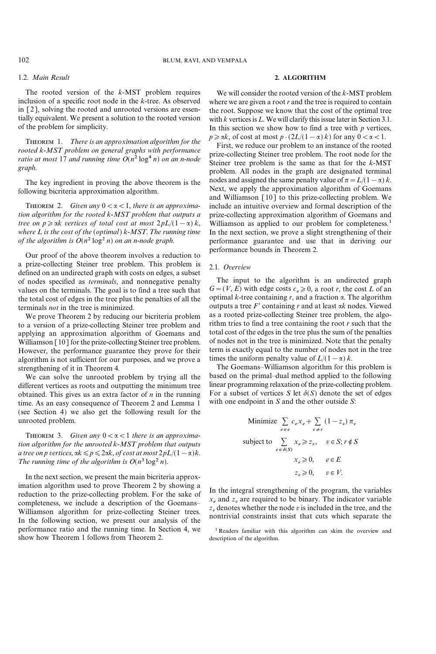# 1.2. Main Result

The rooted version of the  $k$ -MST problem requires inclusion of a specific root node in the k-tree. As observed in [2], solving the rooted and unrooted versions are essentially equivalent. We present a solution to the rooted version of the problem for simplicity.

THEOREM 1. There is an approximation algorithm for the rooted k-MST problem on general graphs with performance ratio at most 17 and running time  $O(n^2 \log^4 n)$  on an n-node graph.

The key ingredient in proving the above theorem is the following bicriteria approximation algorithm.

THEOREM 2. Given any  $0 < \alpha < 1$ , there is an approximation algorithm for the rooted k-MST problem that outputs a tree on  $p \ge \alpha k$  vertices of total cost at most  $2pL/(1-\alpha) k$ , where  $L$  is the cost of the (optimal)  $k$ -MST. The running time of the algorithm is  $O(n^2 \log^2 n)$  on an n-node graph.

Our proof of the above theorem involves a reduction to a prize-collecting Steiner tree problem. This problem is defined on an undirected graph with costs on edges, a subset of nodes specified as terminals, and nonnegative penalty values on the terminals. The goal is to find a tree such that the total cost of edges in the tree plus the penalties of all the terminals not in the tree is minimized.

We prove Theorem 2 by reducing our bicriteria problem to a version of a prize-collecting Steiner tree problem and applying an approximation algorithm of Goemans and Williamson [10] for the prize-collecting Steiner tree problem. However, the performance guarantee they prove for their algorithm is not sufficient for our purposes, and we prove a strengthening of it in Theorem 4.

We can solve the unrooted problem by trying all the different vertices as roots and outputting the minimum tree obtained. This gives us an extra factor of  $n$  in the running time. As an easy consequence of Theorem 2 and Lemma 1 (see Section 4) we also get the following result for the unrooted problem.

THEOREM 3. Given any  $0 < \alpha < 1$  there is an approximation algorithm for the unrooted k-MST problem that outputs a tree on p vertices,  $\alpha k \leqslant p \leqslant 2\alpha k$ , of cost at most  $2pL/(1-\alpha)k$ . The running time of the algorithm is  $O(n^3 \log^2 n)$ .

In the next section, we present the main bicriteria approximation algorithm used to prove Theorem 2 by showing a reduction to the prize-collecting problem. For the sake of completeness, we include a description of the Goemans Williamson algorithm for prize-collecting Steiner trees. In the following section, we present our analysis of the performance ratio and the running time. In Section 4, we show how Theorem 1 follows from Theorem 2.

# 2. ALGORITHM

We will consider the rooted version of the k-MST problem where we are given a root  $r$  and the tree is required to contain the root. Suppose we know that the cost of the optimal tree with  $k$  vertices is  $L$ . We will clarify this issue later in Section 3.1. In this section we show how to find a tree with  $p$  vertices,  $p \ge \alpha k$ , of cost at most  $p \cdot (2L/(1-\alpha) k)$  for any  $0 < \alpha < 1$ .

First, we reduce our problem to an instance of the rooted prize-collecting Steiner tree problem. The root node for the Steiner tree problem is the same as that for the k-MST problem. All nodes in the graph are designated terminal nodes and assigned the same penalty value of  $\pi = L/(1-\alpha) k$ . Next, we apply the approximation algorithm of Goemans and Williamson [10] to this prize-collecting problem. We include an intuitive overview and formal description of the prize-collecting approximation algorithm of Goemans and Williamson as applied to our problem for completeness.<sup>1</sup> In the next section, we prove a slight strengthening of their performance guarantee and use that in deriving our performance bounds in Theorem 2.

# 2.1. Overview

The input to the algorithm is an undirected graph  $G=(V, E)$  with edge costs  $c_e\geq 0$ , a root r, the cost L of an optimal k-tree containing r, and a fraction  $\alpha$ . The algorithm outputs a tree F' containing r and at least  $\alpha k$  nodes. Viewed as a rooted prize-collecting Steiner tree problem, the algorithm tries to find a tree containing the root  $r$  such that the total cost of the edges in the tree plus the sum of the penalties of nodes not in the tree is minimized. Note that the penalty term is exactly equal to the number of nodes not in the tree times the uniform penalty value of  $L/(1-\alpha)$  k.

The Goemans–Williamson algorithm for this problem is based on the primal-dual method applied to the following linear programming relaxation of the prize-collecting problem. For a subset of vertices S let  $\delta(S)$  denote the set of edges with one endpoint in  $S$  and the other outside  $S$ :

Minimize 
$$
\sum_{e \in e} c_e x_e + \sum_{v \neq r} (1 - z_v) \pi_v
$$
  
subject to  $\sum_{e \in \delta(S)} x_e \geq z_v$ ,  $v \in S; r \notin S$   
 $x_e \geq 0$ ,  $e \in E$   
 $z_v \geq 0$ ,  $v \in V$ .

In the integral strengthening of the program, the variables  $x_e$  and  $z_n$  are required to be binary. The indicator variable  $z<sub>v</sub>$  denotes whether the node v is included in the tree, and the nontrivial constraints insist that cuts which separate the

<sup>1</sup> Readers familiar with this algorithm can skim the overview and description of the algorithm.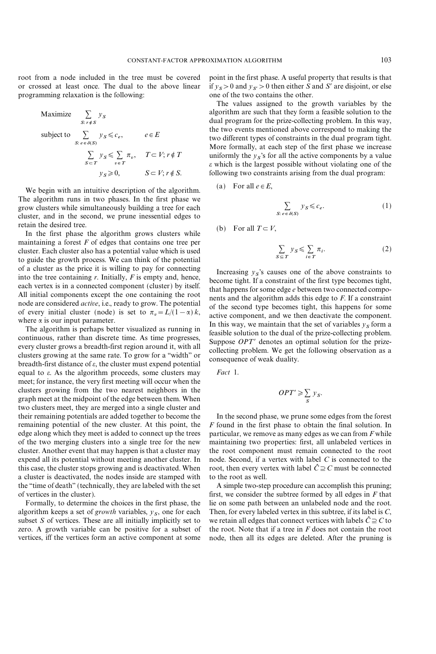root from a node included in the tree must be covered or crossed at least once. The dual to the above linear programming relaxation is the following:

Maximize 
$$
\sum_{S: r \notin S} y_S
$$
  
\nsubject to  $\sum_{S: e \in \delta(S)} y_S \le c_e$ ,  $e \in E$   
\n $\sum_{S \subset T} y_S \le \sum_{v \in T} \pi_v$ ,  $T \subset V; r \notin T$   
\n $y_S \ge 0$ ,  $S \subset V; r \notin S$ .

We begin with an intuitive description of the algorithm. The algorithm runs in two phases. In the first phase we grow clusters while simultaneously building a tree for each cluster, and in the second, we prune inessential edges to retain the desired tree.

In the first phase the algorithm grows clusters while maintaining a forest  $F$  of edges that contains one tree per cluster. Each cluster also has a potential value which is used to guide the growth process. We can think of the potential of a cluster as the price it is willing to pay for connecting into the tree containing  $r$ . Initially,  $F$  is empty and, hence, each vertex is in a connected component (cluster) by itself. All initial components except the one containing the root node are considered active, i.e., ready to grow. The potential of every initial cluster (node) is set to  $\pi_{v}=L/(1-\alpha) k$ , where  $\alpha$  is our input parameter.

The algorithm is perhaps better visualized as running in continuous, rather than discrete time. As time progresses, every cluster grows a breadth-first region around it, with all clusters growing at the same rate. To grow for a "width" or breadth-first distance of  $\varepsilon$ , the cluster must expend potential equal to  $\varepsilon$ . As the algorithm proceeds, some clusters may meet; for instance, the very first meeting will occur when the clusters growing from the two nearest neighbors in the graph meet at the midpoint of the edge between them. When two clusters meet, they are merged into a single cluster and their remaining potentials are added together to become the remaining potential of the new cluster. At this point, the edge along which they meet is added to connect up the trees of the two merging clusters into a single tree for the new cluster. Another event that may happen is that a cluster may expend all its potential without meeting another cluster. In this case, the cluster stops growing and is deactivated. When a cluster is deactivated, the nodes inside are stamped with the "time of death" (technically, they are labeled with the set of vertices in the cluster).

Formally, to determine the choices in the first phase, the algorithm keeps a set of growth variables,  $y_s$ , one for each subset S of vertices. These are all initially implicitly set to zero. A growth variable can be positive for a subset of vertices, iff the vertices form an active component at some

point in the first phase. A useful property that results is that if  $y_s > 0$  and  $y_{s'} > 0$  then either S and S' are disjoint, or else one of the two contains the other.

The values assigned to the growth variables by the algorithm are such that they form a feasible solution to the dual program for the prize-collecting problem. In this way, the two events mentioned above correspond to making the two different types of constraints in the dual program tight. More formally, at each step of the first phase we increase uniformly the  $y_s$ 's for all the active components by a value  $\varepsilon$  which is the largest possible without violating one of the following two constraints arising from the dual program:

(a) For all 
$$
e \in E
$$
,

$$
\sum_{S: e \in \delta(S)} y_S \leq c_e. \tag{1}
$$

(b) For all  $T\subset V$ ,

$$
\sum_{S \subseteq T} y_S \leqslant \sum_{i \in T} \pi_i. \tag{2}
$$

Increasing  $y_s$ 's causes one of the above constraints to become tight. If a constraint of the first type becomes tight, that happens for some edge  $e$  between two connected components and the algorithm adds this edge to F. If a constraint of the second type becomes tight, this happens for some active component, and we then deactivate the component. In this way, we maintain that the set of variables  $y<sub>s</sub>$  form a feasible solution to the dual of the prize-collecting problem. Suppose  $OPT'$  denotes an optimal solution for the prizecollecting problem. We get the following observation as a consequence of weak duality.

Fact 1.

$$
OPT' \geqslant \sum_{S} y_{S}.
$$

In the second phase, we prune some edges from the forest F found in the first phase to obtain the final solution. In particular, we remove as many edges as we can from  $F$  while maintaining two properties: first, all unlabeled vertices in the root component must remain connected to the root node. Second, if a vertex with label  $C$  is connected to the root, then every vertex with label  $\hat{C} \supseteq C$  must be connected to the root as well.

A simple two-step procedure can accomplish this pruning; first, we consider the subtree formed by all edges in  $F$  that lie on some path between an unlabeled node and the root. Then, for every labeled vertex in this subtree, if its label is C, we retain all edges that connect vertices with labels  $\hat{C} \supseteq C$  to the root. Note that if a tree in  $F$  does not contain the root node, then all its edges are deleted. After the pruning is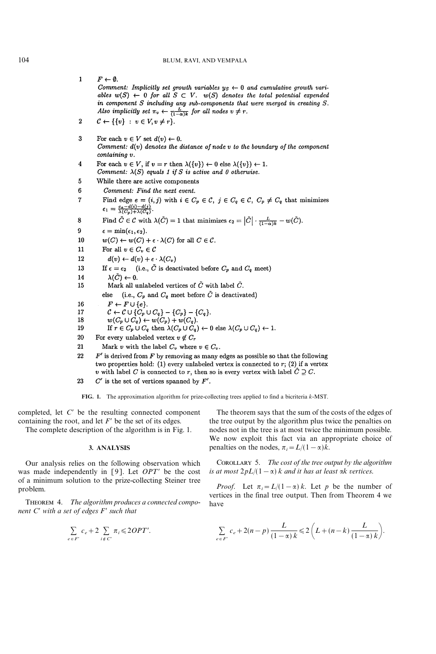| $\mathbf{1}$ | $F \leftarrow \emptyset$ .<br>Comment: Implicitly set growth variables $y_S \leftarrow 0$ and cumulative growth vari-<br>ables $w(S) \leftarrow 0$ for all $S \subset V$ . $w(S)$ denotes the total potential expended<br>in component $S$ including any sub-components that were merged in creating $S$ .<br>Also implicitly set $\pi_v \leftarrow \frac{L}{(1-\alpha)k}$ for all nodes $v \neq r$ . |
|--------------|-------------------------------------------------------------------------------------------------------------------------------------------------------------------------------------------------------------------------------------------------------------------------------------------------------------------------------------------------------------------------------------------------------|
| 2            | $C \leftarrow \{\{v\} : v \in V, v \neq r\}.$                                                                                                                                                                                                                                                                                                                                                         |
| 3            | For each $v \in V$ set $d(v) \leftarrow 0$ .<br>Comment: $d(v)$ denotes the distance of node $v$ to the boundary of the component<br>$containing$ $v.$                                                                                                                                                                                                                                                |
| 4            | For each $v \in V$ , if $v = r$ then $\lambda({v}) \leftarrow 0$ else $\lambda({v}) \leftarrow 1$ .<br>Comment: $\lambda(S)$ equals 1 if S is active and 0 otherwise.                                                                                                                                                                                                                                 |
| 5            | While there are active components                                                                                                                                                                                                                                                                                                                                                                     |
| 6            | Comment: Find the next event.                                                                                                                                                                                                                                                                                                                                                                         |
| 7            | Find edge $e = (i, j)$ with $i \in C_p \in C$ , $j \in C_q \in C$ , $C_p \neq C_q$ that minimizes                                                                                                                                                                                                                                                                                                     |
|              | $\epsilon_1 = \frac{c_e - d(i) - d(j)}{\lambda(C_n) + \lambda(C_q)}.$                                                                                                                                                                                                                                                                                                                                 |
| 8            | Find $\tilde{C} \in \mathcal{C}$ with $\lambda(\tilde{C}) = 1$ that minimizes $\epsilon_2 =  \tilde{C}  \cdot \frac{L}{(1-\alpha)k} - w(\tilde{C}).$                                                                                                                                                                                                                                                  |
| 9            | $\epsilon = \min(\epsilon_1, \epsilon_2).$                                                                                                                                                                                                                                                                                                                                                            |
| 10           | $w(C) \leftarrow w(C) + \epsilon \cdot \lambda(C)$ for all $C \in \mathcal{C}$ .                                                                                                                                                                                                                                                                                                                      |
| 11           | For all $v \in C_v \in \mathcal{C}$                                                                                                                                                                                                                                                                                                                                                                   |
| 12           | $d(v) \leftarrow d(v) + \epsilon \cdot \lambda(C_v)$                                                                                                                                                                                                                                                                                                                                                  |
| 13           | If $\epsilon = \epsilon_2$ (i.e., $\tilde{C}$ is deactivated before $C_p$ and $C_q$ meet)                                                                                                                                                                                                                                                                                                             |
| 14           | $\lambda(\tilde{C}) \leftarrow 0.$                                                                                                                                                                                                                                                                                                                                                                    |
| 15           | Mark all unlabeled vertices of $\tilde{C}$ with label $\tilde{C}$ .                                                                                                                                                                                                                                                                                                                                   |
|              | (i.e., $C_p$ and $C_q$ meet before $\tilde{C}$ is deactivated)<br>else                                                                                                                                                                                                                                                                                                                                |
| 16           | $F \leftarrow F \cup \{e\}.$                                                                                                                                                                                                                                                                                                                                                                          |
| 17<br>18     | $C \leftarrow C \cup \{C_p \cup C_q\} - \{C_p\} - \{C_q\}.$<br>$w(C_p \cup C_q) \leftarrow w(C_p) + w(C_q).$                                                                                                                                                                                                                                                                                          |
| 19           | If $r \in C_p \cup C_q$ then $\lambda(C_p \cup C_q) \leftarrow 0$ else $\lambda(C_p \cup C_q) \leftarrow 1$ .                                                                                                                                                                                                                                                                                         |
| 20           | For every unlabeled vertex $v \notin C_r$                                                                                                                                                                                                                                                                                                                                                             |
| 21           | Mark v with the label $C_v$ where $v \in C_v$ .                                                                                                                                                                                                                                                                                                                                                       |
| 22           | $F'$ is derived from $F$ by removing as many edges as possible so that the following                                                                                                                                                                                                                                                                                                                  |
|              | two properties hold: (1) every unlabeled vertex is connected to $r$ ; (2) if a vertex                                                                                                                                                                                                                                                                                                                 |
|              | v with label C is connected to r, then so is every vertex with label $\hat{C} \supseteq C$ .                                                                                                                                                                                                                                                                                                          |
| 23           | $C'$ is the set of vertices spanned by $F'.$                                                                                                                                                                                                                                                                                                                                                          |

FIG. 1. The approximation algorithm for prize-collecting trees applied to find a bicriteria k-MST.

completed, let  $C'$  be the resulting connected component containing the root, and let  $F'$  be the set of its edges.

The complete description of the algorithm is in Fig. 1.

# 3. ANALYSIS

Our analysis relies on the following observation which was made independently in  $[9]$ . Let  $OPT'$  be the cost of a minimum solution to the prize-collecting Steiner tree problem.

THEOREM 4. The algorithm produces a connected component  $C'$  with a set of edges  $F'$  such that

$$
\sum_{e \in F'} c_e + 2 \sum_{i \notin C'} \pi_i \leqslant 2OPT'.
$$

The theorem says that the sum of the costs of the edges of the tree output by the algorithm plus twice the penalties on nodes not in the tree is at most twice the minimum possible. We now exploit this fact via an appropriate choice of penalties on the nodes,  $\pi_i = L/(1-\alpha)k$ .

COROLLARY 5. The cost of the tree output by the algorithm is at most  $2pL/(1-\alpha)$  k and it has at least  $\alpha k$  vertices.

*Proof.* Let  $\pi_i = L/(1-\alpha) k$ . Let p be the number of vertices in the final tree output. Then from Theorem 4 we have

$$
\sum_{e \in F'} c_e + 2(n-p) \frac{L}{(1-\alpha)k} \leq 2\left(L + (n-k)\frac{L}{(1-\alpha)k}\right).
$$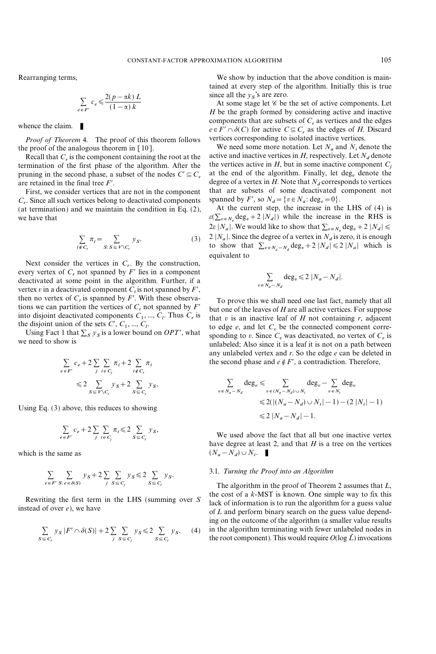Rearranging terms,

$$
\sum_{e\,\in\,F'}c_e\!\leqslant\!\frac{2(p-\alpha k)\,L}{(1-\alpha)\,k}
$$

whence the claim.  $\blacksquare$ 

Proof of Theorem 4. The proof of this theorem follows the proof of the analogous theorem in  $\lceil 10 \rceil$ .

Recall that  $C<sub>r</sub>$  is the component containing the root at the termination of the first phase of the algorithm. After the pruning in the second phase, a subset of the nodes  $C' \subseteq C_r$ are retained in the final tree  $F'$ .

First, we consider vertices that are not in the component  $C_r$ . Since all such vertices belong to deactivated components (at termination) and we maintain the condition in Eq. (2), we have that

$$
\sum_{i \notin C_r} \pi_i = \sum_{S: S \subseteq V \setminus C_r} y_S.
$$
 (3)

Next consider the vertices in  $C_r$ . By the construction, every vertex of  $C_r$  not spanned by F' lies in a component deactivated at some point in the algorithm. Further, if a vertex v in a deactivated component  $C_i$  is not spanned by  $F'$ , then no vertex of  $C_i$  is spanned by  $F'$ . With these observations we can partition the vertices of  $C_r$  not spanned by  $F'$ into disjoint deactivated components  $C_1$ , ...,  $C_l$ . Thus  $C_r$  is the disjoint union of the sets  $C', C_1, ..., C_l$ .

Using Fact 1 that  $\sum_{S} y_S$  is a lower bound on *OPT'*, what we need to show is

$$
\sum_{e \in F'} c_e + 2 \sum_j \sum_{i \in C_j} \pi_i + 2 \sum_{i \notin C_r} \pi_i
$$
  

$$
\leq 2 \sum_{S \subseteq V \setminus C_r} y_S + 2 \sum_{S \subseteq C_r} y_S.
$$

Using Eq. (3) above, this reduces to showing

$$
\sum_{e \in F'} c_e + 2 \sum_j \sum_{i \in C_j} \pi_i \leq 2 \sum_{S \subseteq C_r} y_S,
$$

which is the same as

$$
\sum_{e \in F'} \sum_{S: e \in \delta(S)} y_S + 2 \sum_j \sum_{S \subseteq C_j} y_S \le 2 \sum_{S \subseteq C_r} y_S.
$$

Rewriting the first term in the LHS (summing over S instead of over  $e$ ), we have

$$
\sum_{S \subseteq C_r} y_S |F' \cap \delta(S)| + 2 \sum_{j} \sum_{S \subseteq C_j} y_S \le 2 \sum_{S \subseteq C_r} y_S. \tag{4}
$$

We show by induction that the above condition is maintained at every step of the algorithm. Initially this is true since all the  $y<sub>S</sub>$ 's are zero.

At some stage let  $\mathscr C$  be the set of active components. Let H be the graph formed by considering active and inactive components that are subsets of  $C<sub>r</sub>$  as vertices and the edges  $e \in F' \cap \delta(C)$  for active  $C \subseteq C_r$  as the edges of H. Discard vertices corresponding to isolated inactive vertices.

We need some more notation. Let  $N_a$  and  $N_i$  denote the active and inactive vertices in  $H$ , respectively. Let  $N_d$  denote the vertices active in  $H$ , but in some inactive component  $C_i$ at the end of the algorithm. Finally, let deg<sub>n</sub> denote the degree of a vertex in H. Note that  $N_d$  corresponds to vertices that are subsets of some deactivated component not spanned by F', so  $N_d = \{v \in N_a : \text{deg}_v = 0\}.$ 

At the current step, the increase in the LHS of (4) is  $\varepsilon(\sum_{v \in N_a} \deg_v + 2 |N_d|)$  while the increase in the RHS is  $2\varepsilon |N_a|$ . We would like to show that  $\sum_{v \in N_a} \deg_v + 2 |N_a| \leq$  $2 |N_a|$ . Since the degree of a vertex in  $N_d$  is zero, it is enough to show that  $\sum_{v \in N_a - N_d} \deg_v + 2 |N_d| \leq 2 |N_a|$  which is equivalent to

$$
\sum_{v \in N_a - N_d} \deg_v \leqslant 2 \left| N_a - N_d \right|.
$$

To prove this we shall need one last fact, namely that all but one of the leaves of  $H$  are all active vertices. For suppose that  $v$  is an inactive leaf of  $H$  not containing  $r$ , adjacent to edge  $e$ , and let  $C_v$  be the connected component corresponding to v. Since  $C_v$  was deactivated, no vertex of  $C_v$  is unlabeled; Also since it is a leaf it is not on a path between any unlabeled vertex and  $r$ . So the edge  $e$  can be deleted in the second phase and  $e \notin F'$ , a contradiction. Therefore,

$$
\sum_{v \in N_a - N_d} deg_v \leqslant \sum_{v \in (N_a - N_d) \cup N_i} deg_v - \sum_{v \in N_i} deg_v
$$
  

$$
\leqslant 2(|(N_a - N_d) \cup N_i| - 1) - (2|N_i| - 1)
$$
  

$$
\leqslant 2|N_a - N_d| - 1.
$$

We used above the fact that all but one inactive vertex have degree at least 2, and that  $H$  is a tree on the vertices  $(N_a - N_d) \cup N_i$ .

## 3.1. Turning the Proof into an Algorithm

The algorithm in the proof of Theorem 2 assumes that L, the cost of a  $k$ -MST is known. One simple way to fix this lack of information is to run the algorithm for a guess value of L and perform binary search on the guess value depending on the outcome of the algorithm (a smaller value results in the algorithm terminating with fewer unlabeled nodes in the root component). This would require  $O(\log L)$  invocations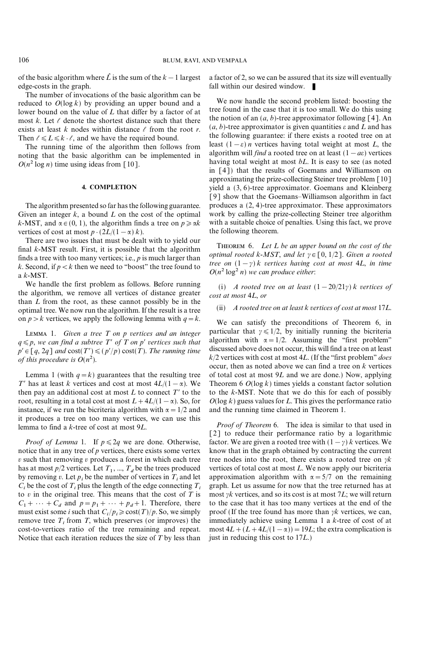of the basic algorithm where  $\hat{L}$  is the sum of the  $k-1$  largest edge-costs in the graph.

The number of invocations of the basic algorithm can be reduced to  $O(\log k)$  by providing an upper bound and a lower bound on the value of L that differ by a factor of at most k. Let  $\ell$  denote the shortest distance such that there exists at least k nodes within distance  $\ell$  from the root r. Then  $\ell \le L \le k \cdot \ell$ , and we have the required bound.

The running time of the algorithm then follows from noting that the basic algorithm can be implemented in  $O(n^2 \log n)$  time using ideas from [10].

# 4. COMPLETION

The algorithm presented so far has the following guarantee. Given an integer  $k$ , a bound  $L$  on the cost of the optimal k-MST, and  $\alpha \in (0, 1)$ , the algorithm finds a tree on  $p \ge \alpha k$ vertices of cost at most  $p \cdot (2L/(1-\alpha) k)$ .

There are two issues that must be dealt with to yield our final  $k$ -MST result. First, it is possible that the algorithm finds a tree with too many vertices; i.e.,  $p$  is much larger than k. Second, if  $p \le k$  then we need to "boost" the tree found to a  $k$ -MST.

We handle the first problem as follows. Before running the algorithm, we remove all vertices of distance greater than  $L$  from the root, as these cannot possibly be in the optimal tree. We now run the algorithm. If the result is a tree on  $p > k$  vertices, we apply the following lemma with  $q = k$ .

LEMMA 1. Given a tree  $T$  on  $p$  vertices and an integer  $q \leq p$ , we can find a subtree T' of T on p' vertices such that  $p' \in [q, 2q]$  and  $cost(T') \leq (p'/p) cost(T)$ . The running time of this procedure is  $O(n^2)$ .

Lemma 1 (with  $q=k$ ) guarantees that the resulting tree T' has at least k vertices and cost at most  $4L/(1-\alpha)$ . We then pay an additional cost at most  $L$  to connect  $T'$  to the root, resulting in a total cost at most  $L+4L/(1-\alpha)$ . So, for instance, if we run the bicriteria algorithm with  $\alpha = 1/2$  and it produces a tree on too many vertices, we can use this lemma to find a k-tree of cost at most 9L.

*Proof of Lemma 1.* If  $p \leq 2q$  we are done. Otherwise, notice that in any tree of  $p$  vertices, there exists some vertex  $v$  such that removing  $v$  produces a forest in which each tree has at most  $p/2$  vertices. Let  $T_1$ , ...,  $T_d$  be the trees produced by removing v. Let  $p_i$  be the number of vertices in  $T_i$  and let  $C_i$  be the cost of  $T_i$  plus the length of the edge connecting  $T_i$ to  $v$  in the original tree. This means that the cost of  $T$  is  $C_1 + \cdots + C_d$  and  $p = p_1 + \cdots + p_d + 1$ . Therefore, there must exist some *i* such that  $C_i/p_i \ge \text{cost}(T)/p$ . So, we simply remove tree  $T_i$  from T, which preserves (or improves) the cost-to-vertices ratio of the tree remaining and repeat. Notice that each iteration reduces the size of  $T$  by less than

a factor of 2, so we can be assured that its size will eventually fall within our desired window.

We now handle the second problem listed: boosting the tree found in the case that it is too small. We do this using the notion of an  $(a, b)$ -tree approximator following [4]. An  $(a, b)$ -tree approximator is given quantities  $\varepsilon$  and L and has the following guarantee: if there exists a rooted tree on at least  $(1-\varepsilon)$  *n* vertices having total weight at most L, the algorithm will *find* a rooted tree on at least  $(1 - ae)$  vertices having total weight at most  $bL$ . It is easy to see (as noted in [4]) that the results of Goemans and Williamson on approximating the prize-collecting Steiner tree problem [10] yield a (3, 6)-tree approximator. Goemans and Kleinberg [9] show that the Goemans–Williamson algorithm in fact produces a (2, 4)-tree approximator. These approximators work by calling the prize-collecting Steiner tree algorithm with a suitable choice of penalties. Using this fact, we prove the following theorem.

THEOREM 6. Let  $L$  be an upper bound on the cost of the optimal rooted k-MST, and let  $\gamma \in [0, 1/2]$ . Given a rooted tree on  $(1-y)$  k vertices having cost at most 4L, in time  $O(n^2 \log^2 n)$  we can produce either:

(i) A rooted tree on at least  $(1-20/21\gamma)$  k vertices of cost at most 4L, or

(ii) A rooted tree on at least k vertices of cost at most 17L.

We can satisfy the preconditions of Theorem 6, in particular that  $\gamma \leq 1/2$ , by initially running the bicriteria algorithm with  $\alpha = 1/2$ . Assuming the "first problem" discussed above does not occur, this will find a tree on at least  $k/2$  vertices with cost at most 4L. (If the "first problem" *does* occur, then as noted above we can find a tree on  $k$  vertices of total cost at most 9L and we are done.) Now, applying Theorem 6  $O(\log k)$  times yields a constant factor solution to the k-MST. Note that we do this for each of possibly  $O(\log k)$  guess values for L. This gives the performance ratio and the running time claimed in Theorem 1.

Proof of Theorem 6. The idea is similar to that used in [2] to reduce their performance ratio by a logarithmic factor. We are given a rooted tree with  $(1-\gamma)$  k vertices. We know that in the graph obtained by contracting the current tree nodes into the root, there exists a rooted tree on  $\gamma k$ vertices of total cost at most L. We now apply our bicriteria approximation algorithm with  $\alpha = 5/7$  on the remaining graph. Let us assume for now that the tree returned has at most  $\gamma k$  vertices, and so its cost is at most 7L; we will return to the case that it has too many vertices at the end of the proof (If the tree found has more than  $\gamma k$  vertices, we can, immediately achieve using Lemma 1 a k-tree of cost of at most  $4L+(L+4L/(1-\alpha))=19L$ ; the extra complication is just in reducing this cost to 17L.)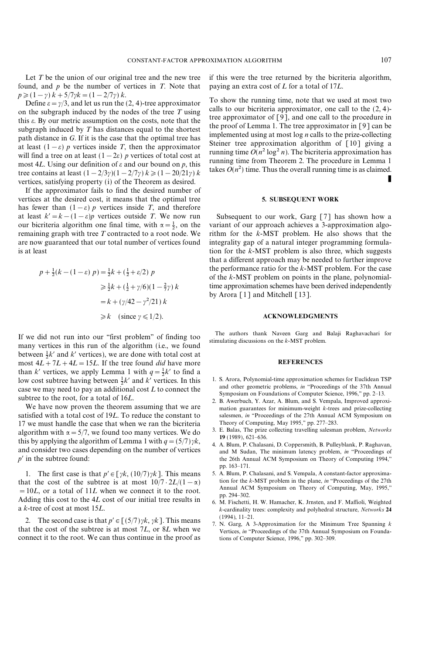Let  $T$  be the union of our original tree and the new tree found, and  $p$  be the number of vertices in  $T$ . Note that  $p \geq (1-\gamma) k + \frac{5}{7\gamma k} = (1-2/7\gamma) k.$ 

Define  $\varepsilon = \frac{\gamma}{3}$ , and let us run the (2, 4)-tree approximator on the subgraph induced by the nodes of the tree  $T$  using this  $\varepsilon$ . By our metric assumption on the costs, note that the subgraph induced by  $T$  has distances equal to the shortest path distance in G. If it is the case that the optimal tree has at least  $(1-\varepsilon)$  p vertices inside T, then the approximator will find a tree on at least  $(1-2\varepsilon)$  p vertices of total cost at most 4L. Using our definition of  $\varepsilon$  and our bound on p, this tree contains at least  $(1-2/3\gamma)(1-2/7\gamma) k \ge (1-20/21\gamma) k$ vertices, satisfying property (i) of the Theorem as desired.

If the approximator fails to find the desired number of vertices at the desired cost, it means that the optimal tree has fewer than  $(1-\varepsilon)$  p vertices inside T, and therefore at least  $k' = k - (1 - \varepsilon)p$  vertices outside T. We now run our bicriteria algorithm one final time, with  $\alpha = \frac{1}{2}$ , on the remaining graph with tree T contracted to a root node. We are now guaranteed that our total number of vertices found is at least

$$
p + \frac{1}{2}(k - (1 - \varepsilon) p) = \frac{1}{2}k + (\frac{1}{2} + \varepsilon/2) p
$$
  
\n
$$
\ge \frac{1}{2}k + (\frac{1}{2} + \gamma/6)(1 - \frac{2}{7}\gamma) k
$$
  
\n
$$
= k + (\gamma/42 - \gamma^2/21) k
$$
  
\n
$$
\ge k \quad \text{(since } \gamma \le 1/2\text{)}.
$$

If we did not run into our "first problem" of finding too many vertices in this run of the algorithm (i.e., we found between  $\frac{1}{2}k'$  and k' vertices), we are done with total cost at most  $4L+7L+4L=15L$ . If the tree found *did* have more than k' vertices, we apply Lemma 1 with  $q = \frac{1}{2}k'$  to find a low cost subtree having between  $\frac{1}{2}k'$  and  $k'$  vertices. In this case we may need to pay an additional cost  $L$  to connect the subtree to the root, for a total of 16L.

We have now proven the theorem assuming that we are satisfied with a total cost of 19L. To reduce the constant to 17 we must handle the case that when we ran the bicriteria algorithm with  $\alpha = 5/7$ , we found too many vertices. We do this by applying the algorithm of Lemma 1 with  $q=(5/7)\gamma k$ , and consider two cases depending on the number of vertices  $p'$  in the subtree found:

1. The first case is that  $p' \in [\gamma k, (10/7)\gamma k]$ . This means that the cost of the subtree is at most  $10/7 \cdot 2L/(1-\alpha)$  $=10L$ , or a total of 11L when we connect it to the root. Adding this cost to the 4L cost of our initial tree results in a k-tree of cost at most 15L.

2. The second case is that  $p' \in [(5/7) \gamma k, \gamma k]$ . This means that the cost of the subtree is at most  $7L$ , or  $8L$  when we connect it to the root. We can thus continue in the proof as

if this were the tree returned by the bicriteria algorithm, paying an extra cost of L for a total of 17L.

To show the running time, note that we used at most two calls to our bicriteria approximator, one call to the (2, 4) tree approximator of [9], and one call to the procedure in the proof of Lemma 1. The tree approximator in [9] can be implemented using at most  $log n$  calls to the prize-collecting Steiner tree approximation algorithm of [10] giving a running time  $O(n^2 \log^2 n)$ . The bicriteria approximation has running time from Theorem 2. The procedure in Lemma 1 takes  $O(n^2)$  time. Thus the overall running time is as claimed. K

## 5. SUBSEQUENT WORK

Subsequent to our work, Garg [7] has shown how a variant of our approach achieves a 3-approximation algorithm for the k-MST problem. He also shows that the integrality gap of a natural integer programming formulation for the  $k$ -MST problem is also three, which suggests that a different approach may be needed to further improve the performance ratio for the  $k$ -MST problem. For the case of the k-MST problem on points in the plane, polynomialtime approximation schemes have been derived independently by Arora  $\lceil 1 \rceil$  and Mitchell  $\lceil 13 \rceil$ .

#### ACKNOWLEDGMENTS

The authors thank Naveen Garg and Balaji Raghavachari for stimulating discussions on the k-MST problem.

#### REFERENCES

- 1. S. Arora, Polynomial-time approximation schemes for Euclidean TSP and other geometric problems, in "Proceedings of the 37th Annual Symposium on Foundations of Computer Science, 1996," pp. 2–13.
- 2. B. Awerbuch, Y. Azar, A. Blum, and S. Vempala, Improved approximation guarantees for minimum-weight k-trees and prize-collecting salesmen, in "Proceedings of the 27th Annual ACM Symposium on Theory of Computing, May 1995," pp. 277-283.
- 3. E. Balas, The prize collecting travelling salesman problem, Networks 19 (1989), 621-636.
- 4. A. Blum, P. Chalasani, D. Coppersmith, B. Pulleyblank, P. Raghavan, and M Sudan, The minimum latency problem,  $in$  "Proceedings of the 26th Annual ACM Symposium on Theory of Computing 1994,'' pp. 163-171.
- 5. A. Blum, P. Chalasani, and S. Vempala, A constant-factor approximation for the  $k$ -MST problem in the plane, in "Proceedings of the 27th Annual ACM Symposium on Theory of Computing, May, 1995,'' pp. 294-302.
- 6. M. Fischetti, H. W. Hamacher, K. Jrnsten, and F. Maffioli, Weighted k-cardinality trees: complexity and polyhedral structure, Networks 24  $(1994)$ ,  $11-21$ .
- 7. N. Garg, A 3-Approximation for the Minimum Tree Spanning  $k$ Vertices, in "Proceedings of the 37th Annual Symposium on Foundations of Computer Science, 1996," pp. 302-309.